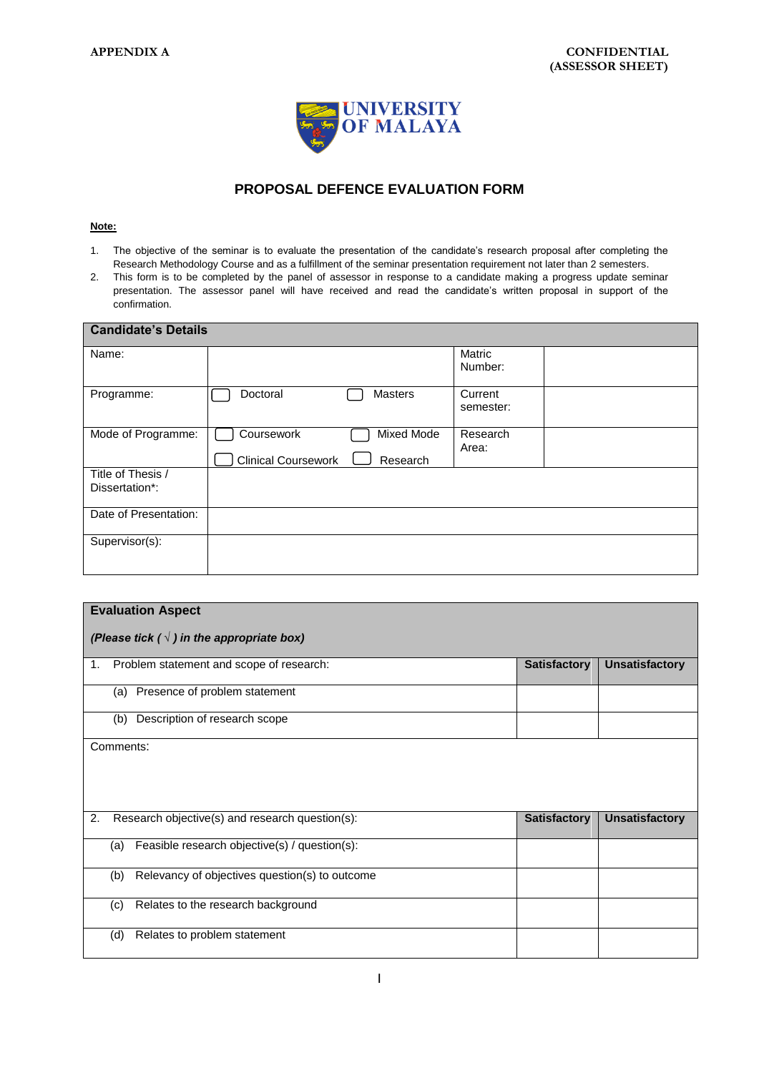

## **PROPOSAL DEFENCE EVALUATION FORM**

## **Note:**

- 1. The objective of the seminar is to evaluate the presentation of the candidate's research proposal after completing the Research Methodology Course and as a fulfillment of the seminar presentation requirement not later than 2 semesters.
- 2. This form is to be completed by the panel of assessor in response to a candidate making a progress update seminar presentation. The assessor panel will have received and read the candidate's written proposal in support of the confirmation.

| <b>Candidate's Details</b>          |                                                                    |                      |  |  |  |  |
|-------------------------------------|--------------------------------------------------------------------|----------------------|--|--|--|--|
| Name:                               |                                                                    | Matric<br>Number:    |  |  |  |  |
| Programme:                          | Doctoral<br>Masters                                                | Current<br>semester: |  |  |  |  |
| Mode of Programme:                  | Coursework<br>Mixed Mode<br><b>Clinical Coursework</b><br>Research | Research<br>Area:    |  |  |  |  |
| Title of Thesis /<br>Dissertation*: |                                                                    |                      |  |  |  |  |
| Date of Presentation:               |                                                                    |                      |  |  |  |  |
| Supervisor(s):                      |                                                                    |                      |  |  |  |  |

| <b>Evaluation Aspect</b>                           |                                                       |                     |                       |  |  |
|----------------------------------------------------|-------------------------------------------------------|---------------------|-----------------------|--|--|
| (Please tick ( $\sqrt{}$ ) in the appropriate box) |                                                       |                     |                       |  |  |
| 1.                                                 | Problem statement and scope of research:              | <b>Satisfactory</b> | <b>Unsatisfactory</b> |  |  |
|                                                    | Presence of problem statement<br>(a)                  |                     |                       |  |  |
|                                                    | Description of research scope<br>(b)                  |                     |                       |  |  |
|                                                    | Comments:                                             |                     |                       |  |  |
|                                                    |                                                       |                     |                       |  |  |
| 2.                                                 | Research objective(s) and research question(s):       | <b>Satisfactory</b> | <b>Unsatisfactory</b> |  |  |
|                                                    | Feasible research objective(s) / question(s):<br>(a)  |                     |                       |  |  |
|                                                    | Relevancy of objectives question(s) to outcome<br>(b) |                     |                       |  |  |
|                                                    | Relates to the research background<br>(c)             |                     |                       |  |  |
|                                                    | Relates to problem statement<br>(d)                   |                     |                       |  |  |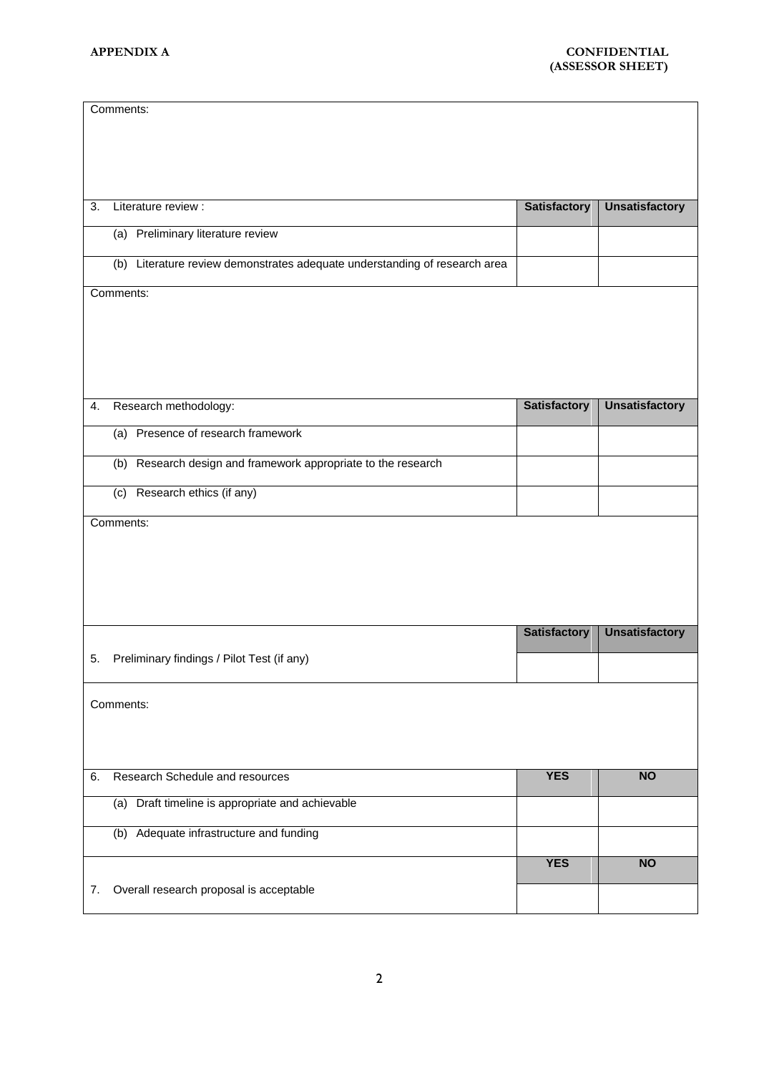|    | Comments:                                                                  |                     |                       |  |
|----|----------------------------------------------------------------------------|---------------------|-----------------------|--|
|    |                                                                            |                     |                       |  |
|    |                                                                            |                     |                       |  |
|    |                                                                            |                     |                       |  |
|    |                                                                            |                     |                       |  |
| 3. | Literature review :                                                        | <b>Satisfactory</b> | <b>Unsatisfactory</b> |  |
|    | (a) Preliminary literature review                                          |                     |                       |  |
|    | (b) Literature review demonstrates adequate understanding of research area |                     |                       |  |
|    | Comments:                                                                  |                     |                       |  |
|    |                                                                            |                     |                       |  |
|    |                                                                            |                     |                       |  |
|    |                                                                            |                     |                       |  |
|    |                                                                            |                     |                       |  |
|    |                                                                            |                     |                       |  |
| 4. | Research methodology:                                                      | <b>Satisfactory</b> | <b>Unsatisfactory</b> |  |
|    | Presence of research framework<br>(a)                                      |                     |                       |  |
|    | (b) Research design and framework appropriate to the research              |                     |                       |  |
|    | (c) Research ethics (if any)                                               |                     |                       |  |
|    | Comments:                                                                  |                     |                       |  |
|    |                                                                            |                     |                       |  |
|    |                                                                            |                     |                       |  |
|    |                                                                            |                     |                       |  |
|    |                                                                            |                     |                       |  |
|    |                                                                            |                     |                       |  |
|    |                                                                            | <b>Satisfactory</b> | <b>Unsatisfactory</b> |  |
| 5. | Preliminary findings / Pilot Test (if any)                                 |                     |                       |  |
|    |                                                                            |                     |                       |  |
|    | Comments:                                                                  |                     |                       |  |
|    |                                                                            |                     |                       |  |
|    |                                                                            |                     |                       |  |
|    |                                                                            |                     |                       |  |
| 6. | Research Schedule and resources                                            | <b>YES</b>          | <b>NO</b>             |  |
|    | (a) Draft timeline is appropriate and achievable                           |                     |                       |  |
|    |                                                                            |                     |                       |  |
|    | (b) Adequate infrastructure and funding                                    |                     |                       |  |
|    |                                                                            | <b>YES</b>          | <b>NO</b>             |  |
| 7. | Overall research proposal is acceptable                                    |                     |                       |  |
|    |                                                                            |                     |                       |  |